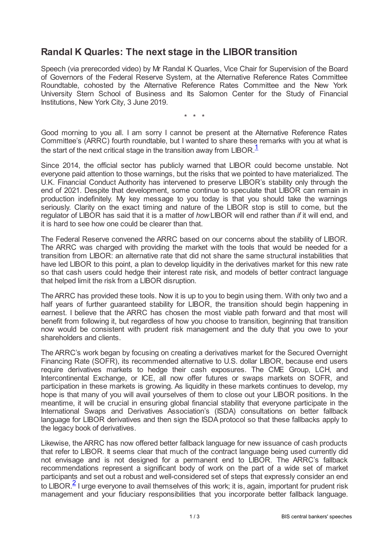## **Randal K Quarles: The next stage in the LIBOR transition**

Speech (via prerecorded video) by Mr Randal K Quarles, Vice Chair for Supervision of the Board of Governors of the Federal Reserve System, at the Alternative Reference Rates Committee Roundtable, cohosted by the Alternative Reference Rates Committee and the New York University Stern School of Business and Its Salomon Center for the Study of Financial Institutions, New York City, 3 June 2019.

<span id="page-0-0"></span>\* \* \*

Good morning to you all. I am sorry I cannot be present at the Alternative Reference Rates Committee's (ARRC) fourth roundtable, but I wanted to share these remarks with you at what is the start of the next critical stage in the transition away from LIBOR.<sup>[1](#page-1-0)</sup>

Since 2014, the official sector has publicly warned that LIBOR could become unstable. Not everyone paid attention to those warnings, but the risks that we pointed to have materialized. The U.K. Financial Conduct Authority has intervened to preserve LIBOR's stability only through the end of 2021. Despite that development, some continue to speculate that LIBOR can remain in production indefinitely. My key message to you today is that you should take the warnings seriously. Clarity on the exact timing and nature of the LIBOR stop is still to come, but the regulator of LIBOR has said that it is a matter of *how*LIBOR will end rather than *if* it will end, and it is hard to see how one could be clearer than that.

The Federal Reserve convened the ARRC based on our concerns about the stability of LIBOR. The ARRC was charged with providing the market with the tools that would be needed for a transition from LIBOR: an alternative rate that did not share the same structural instabilities that have led LIBOR to this point, a plan to develop liquidity in the derivatives market for this new rate so that cash users could hedge their interest rate risk, and models of better contract language that helped limit the risk from a LIBOR disruption.

The ARRC has provided these tools. Now it is up to you to begin using them. With only two and a half years of further guaranteed stability for LIBOR, the transition should begin happening in earnest. I believe that the ARRC has chosen the most viable path forward and that most will benefit from following it, but regardless of how you choose to transition, beginning that transition now would be consistent with prudent risk management and the duty that you owe to your shareholders and clients.

The ARRC's work began by focusing on creating a derivatives market for the Secured Overnight Financing Rate (SOFR), its recommended alternative to U.S. dollar LIBOR, because end users require derivatives markets to hedge their cash exposures. The CME Group, LCH, and Intercontinental Exchange, or ICE, all now offer futures or swaps markets on SOFR, and participation in these markets is growing. As liquidity in these markets continues to develop, my hope is that many of you will avail yourselves of them to close out your LIBOR positions. In the meantime, it will be crucial in ensuring global financial stability that everyone participate in the International Swaps and Derivatives Association's (ISDA) consultations on better fallback language for LIBOR derivatives and then sign the ISDA protocol so that these fallbacks apply to the legacy book of derivatives.

<span id="page-0-1"></span>Likewise, the ARRC has now offered better fallback language for new issuance of cash products that refer to LIBOR. It seems clear that much of the contract language being used currently did not envisage and is not designed for a permanent end to LIBOR. The ARRC's fallback recommendations represent a significant body of work on the part of a wide set of market participants and set out a robust and well-considered set of steps that expressly consider an end to LIBOR.<sup>[2](#page-2-0)</sup> I urge everyone to avail themselves of this work; it is, again, important for prudent risk management and your fiduciary responsibilities that you incorporate better fallback language.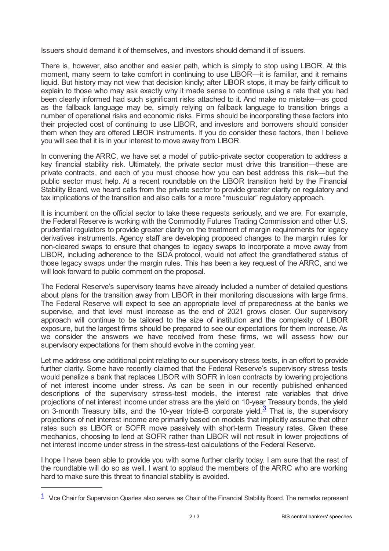Issuers should demand it of themselves, and investors should demand it of issuers.

There is, however, also another and easier path, which is simply to stop using LIBOR. At this moment, many seem to take comfort in continuing to use LIBOR—it is familiar, and it remains liquid. But history may not view that decision kindly; after LIBOR stops, it may be fairly difficult to explain to those who may ask exactly why it made sense to continue using a rate that you had been clearly informed had such significant risks attached to it. And make no mistake—as good as the fallback language may be, simply relying on fallback language to transition brings a number of operational risks and economic risks. Firms should be incorporating these factors into their projected cost of continuing to use LIBOR, and investors and borrowers should consider them when they are offered LIBOR instruments. If you do consider these factors, then I believe you will see that it is in your interest to move away from LIBOR.

In convening the ARRC, we have set a model of public-private sector cooperation to address a key financial stability risk. Ultimately, the private sector must drive this transition—these are private contracts, and each of you must choose how you can best address this risk—but the public sector must help. At a recent roundtable on the LIBOR transition held by the Financial Stability Board, we heard calls from the private sector to provide greater clarity on regulatory and tax implications of the transition and also calls for a more "muscular" regulatory approach.

It is incumbent on the official sector to take these requests seriously, and we are. For example, the Federal Reserve is working with the Commodity Futures Trading Commission and other U.S. prudential regulators to provide greater clarity on the treatment of margin requirements for legacy derivatives instruments. Agency staff are developing proposed changes to the margin rules for non-cleared swaps to ensure that changes to legacy swaps to incorporate a move away from LIBOR, including adherence to the ISDA protocol, would not affect the grandfathered status of those legacy swaps under the margin rules. This has been a key request of the ARRC, and we will look forward to public comment on the proposal.

The Federal Reserve's supervisory teams have already included a number of detailed questions about plans for the transition away from LIBOR in their monitoring discussions with large firms. The Federal Reserve will expect to see an appropriate level of preparedness at the banks we supervise, and that level must increase as the end of 2021 grows closer. Our supervisory approach will continue to be tailored to the size of institution and the complexity of LIBOR exposure, but the largest firms should be prepared to see our expectations for them increase. As we consider the answers we have received from these firms, we will assess how our supervisory expectations for them should evolve in the coming year.

Let me address one additional point relating to our supervisory stress tests, in an effort to provide further clarity. Some have recently claimed that the Federal Reserve's supervisory stress tests would penalize a bank that replaces LIBOR with SOFR in loan contracts by lowering projections of net interest income under stress. As can be seen in our recently published enhanced descriptions of the supervisory stress-test models, the interest rate variables that drive projections of net interest income under stress are the yield on 10-year Treasury bonds, the yield on [3](#page-2-1)-month Treasury bills, and the 10-year triple-B corporate yield.<sup>3</sup> That is, the supervisory projections of net interest income are primarily based on models that implicitly assume that other rates such as LIBOR or SOFR move passively with short-term Treasury rates. Given these mechanics, choosing to lend at SOFR rather than LIBOR will not result in lower projections of net interest income under stress in the stress-test calculations of the Federal Reserve.

<span id="page-1-1"></span>I hope I have been able to provide you with some further clarity today. I am sure that the rest of the roundtable will do so as well. I want to applaud the members of the ARRC who are working hard to make sure this threat to financial stability is avoided.

<span id="page-1-0"></span> $1$  Vice Chair for Supervision Quarles also serves as Chair of the Financial Stability Board. The remarks represent